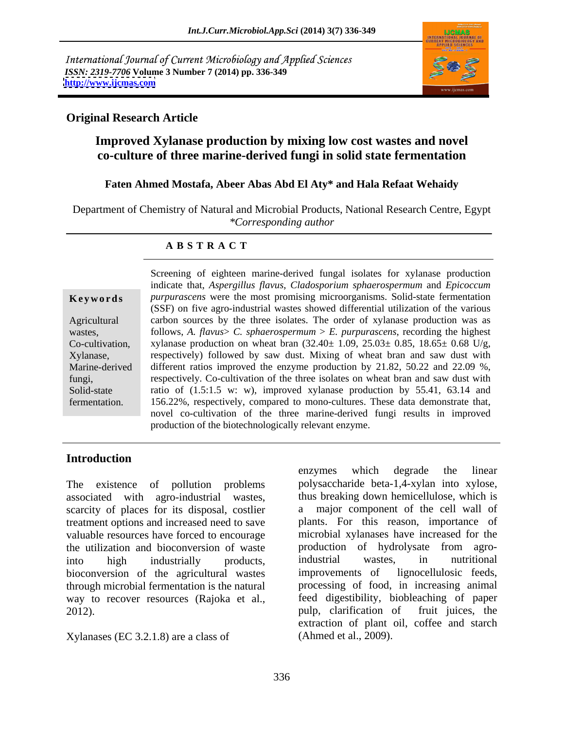International Journal of Current Microbiology and Applied Sciences *ISSN: 2319-7706* **Volume 3 Number 7 (2014) pp. 336-349 <http://www.ijcmas.com>**



### **Original Research Article**

## **Improved Xylanase production by mixing low cost wastes and novel co-culture of three marine-derived fungi in solid state fermentation**

### **Faten Ahmed Mostafa, Abeer Abas Abd El Aty\* and Hala Refaat Wehaidy**

Department of Chemistry of Natural and Microbial Products, National Research Centre, Egypt *\*Corresponding author*

### **A B S T R A C T**

**Keywords** *purpurascens* were the most promising microorganisms. Solid-state fermentation Agricultural carbon sources by the three isolates. The order of xylanase production was as wastes, follows, *A. flavus> C. sphaerospermum > E. purpurascens*, recording the highest Co-cultivation, xylanase production on wheat bran  $(32.40 \pm 1.09, 25.03 \pm 0.85, 18.65 \pm 0.68 \text{ U/g},$ Xylanase, respectively) followed by saw dust. Mixing of wheat bran and saw dust with Marine-derived different ratios improved the enzyme production by 21.82, 50.22 and 22.09 %, fungi, respectively. Co-cultivation of the three isolates on wheat bran and saw dust with Solid-state ratio of  $(1.5:1.5 \text{ w}; \text{ w})$ , improved xylanase production by 55.41, 63.14 and fermentation. 156.22%, respectively, compared to mono-cultures. These data demonstrate that, Screening of eighteen marine-derived fungal isolates for xylanase production indicate that, *Aspergillus flavus*, *Cladosporium sphaerospermum* and *Epicoccum*  (SSF) on five agro-industrial wastes showed differential utilization of the various follows, A. *flavus* > *C. sphaerospermum* > *E. purpurascens*, recording the highest novel co-cultivation of the three marine-derived fungi results in improved production of the biotechnologically relevant enzyme.

## **Introduction**

The existence of pollution problems associated with agro-industrial wastes, scarcity of places for its disposal, costlier a treatment options and increased need to save valuable resources have forced to encourage bioconversion of the agricultural wastes improvements of lignocellulosic feeds, through microbial fermentation is the natural way to recover resources (Rajoka et al., feed digestibility, biobleaching of paper 2012).<br>
2012). 2012). pulp, clarification of

Xylanases (EC 3.2.1.8) are a class of

the utilization and bioconversion of waste production of hydrolysate from agrointo high industrially products, enzymes which degrade the linear polysaccharide beta-1,4-xylan into xylose, thus breaking down hemicellulose, which is major component of the cell wall of plants. For this reason, importance of microbial xylanases have increased for the industrial wastes, in nutritional improvements of lignocellulosic feeds, processing of food, in increasing animal feed digestibility, biobleaching of paper pulp, clarification of fruit juices, the extraction of plant oil, coffee and starch (Ahmed et al., 2009).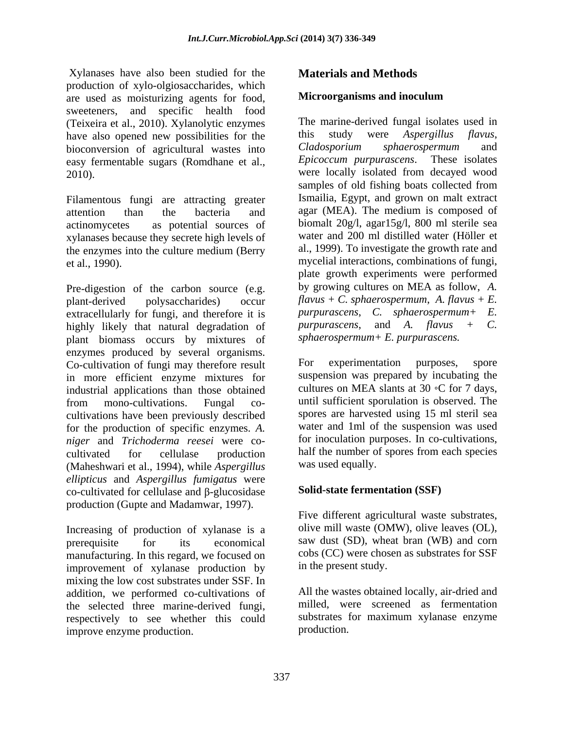Xylanases have also been studied for the production of xylo-olgiosaccharides, which<br>are used as moisturizing agents for food **Microorganisms and inoculum** are used as moisturizing agents for food, sweeteners, and specific health food (Teixeira et al., 2010). Xylanolytic enzymes The marine-derived fungal isolates<br>have also opened new possibilities for the this study were *Aspergillus* have also opened new possibilities for the this study were Aspergillus flavus,<br>bioconversion of agricultural wastes into Cladosporium sphaerospermum and bioconversion of agricultural wastes into Cladosporium sphaerospermum and<br>easy fermentable sugars (Romdhane et al *Epicoccum purpurascens*. These isolates easy fermentable sugars (Romdhane et al.,

Filamentous fungi are attracting greater xylanases because they secrete high levels of the enzymes into the culture medium (Berry

Pre-digestion of the carbon source (e.g. plant-derived polysaccharides) occur *flavus + C. sphaerospermum*, *A. flavus + E.*  extracellularly for fungi, and therefore it is  $\nu$  purpurascens, C. sphaerospermum + E.<br>highly likely that natural degradation of  $\nu$  purpurascens, and A. flavus + C. highly likely that natural degradation of plant biomass occurs by mixtures of enzymes produced by several organisms. Co-cultivation of fungi may therefore result For experimentation purposes, spore in more efficient enzyme mixtures for industrial applications than those obtained from mono-cultivations. Fungal co- until sufficient sporulation is observed. The cultivations have been previously described for the production of specific enzymes. *A. niger* and *Trichoderma reesei* were co cultivated for cellulase production half the number of spores from each species (Maheshwari et al., 1994), while *Aspergillus ellipticus* and *Aspergillus fumigatus* were co-cultivated for cellulase and  $\beta$ -glucosidase production (Gupte and Madamwar, 1997).

Increasing of production of xylanase is a prerequisite for its economical saw dust (SD), wheat bran (WB) and corn manufacturing. In this regard, we focused on improvement of xylanase production by mixing the low cost substrates under SSF. In addition, we performed co-cultivations of the selected three marine-derived fungi, respectively to see whether this could substrates f<br>improve enzyme production production. improve enzyme production.

## **Materials and Methods**

### **Microorganisms and inoculum**

2010). were locally isolated from decayed wood attention than the bacteria and agar (MEA). The medium is composed of actinomycetes as potential sources of biomalt 20g/l, agar15g/l, 800 ml sterile sea et al., 1990). mycelial interactions, combinations of fungi, The marine-derived fungal isolates used in this study were *Aspergillus flavus*, *Cladosporium sphaerospermum* and *Epicoccum purpurascens*. These isolates samples of old fishing boats collected from Ismailia, Egypt, and grown on malt extract water and 200 ml distilled water (Höller et al., 1999). To investigate the growth rate and plate growth experiments were performed by growing cultures on MEA as follow, *A. purpurascens, C. sphaerospermum+ purpurascens*, and *A. flavus + C. sphaerospermum+ E. purpurascens.*

> For experimentation purposes, spore suspension was prepared by incubating the cultures on MEA slants at  $30 \text{ °C}$  for 7 days, until sufficient sporulation is observed. The spores are harvested using 15 ml steril sea water and 1ml of the suspension was used for inoculation purposes. In co-cultivations, was used equally.

## **Solid-state fermentation (SSF)**

Five different agricultural waste substrates, olive mill waste (OMW), olive leaves (OL), cobs (CC) were chosen as substrates for SSF in the present study.

All the wastes obtained locally, air-dried and milled, were screened as fermentation substrates for maximum xylanase enzyme production.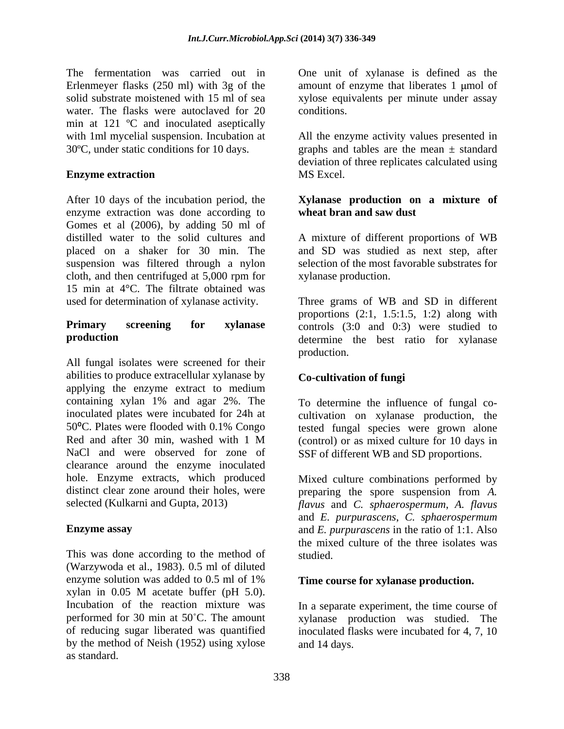The fermentation was carried out in One unit of xylanase is defined as the Erlenmeyer flasks (250 ml) with 3g of the solid substrate moistened with 15 ml of sea solid substrate moistened with 15 ml of sea xylose equivalents per minute under assay water. The flasks were autoclaved for 20 conditions. min at 121 ºC and inoculated aseptically with 1ml mycelial suspension. Incubation at All the enzyme activity values presented in 30ºC, under static conditions for 10 days. graphs and tables are the mean ± standard

After 10 days of the incubation period, the **Xylanase production on a mixture of** enzyme extraction was done according to Gomes et al (2006), by adding 50 ml of distilled water to the solid cultures and A mixture of different proportions of WB placed on a shaker for 30 min. The and SD was studied as next step, after suspension was filtered through a nylon selection of the most favorable substrates for cloth, and then centrifuged at 5,000 rpm for 15 min at 4°C. The filtrate obtained was

All fungal isolates were screened for their abilities to produce extracellular xylanase by applying the enzyme extract to medium containing xylan 1% and agar 2%. The inoculated plates were incubated for 24h at cultivation on xylanase production, the 50°C. Plates were flooded with 0.1% Congo tested fungal species were grown alone Red and after 30 min, washed with 1 M (control) or as mixed culture for 10 days in NaCl and were observed for zone of SSF of different WB and SD proportions. clearance around the enzyme inoculated hole. Enzyme extracts, which produced Mixed culture combinations performed by distinct clear zone around their holes, were preparing the spore suspension from *A*.

This was done according to the method of studied. (Warzywoda et al., 1983). 0.5 ml of diluted enzyme solution was added to  $0.5$  ml of  $1\%$  Time course for xylanase production. xylan in 0.05 M acetate buffer (pH 5.0). Incubation of the reaction mixture was In a separate experiment, the time course of performed for 30 min at 50°C. The amount xylanase production was studied. The of reducing sugar liberated was quantified inoculated flasks were incubated for 4, 7, 10 by the method of Neish (1952) using xylose as standard.

amount of enzyme that liberates  $1 \text{ \mu}$  mol of conditions.

**Enzyme extraction** MS Excel. deviation of three replicates calculated using MS Excel.

# **wheat bran and saw dust**

xylanase production.

used for determination of xylanase activity. Three grams of WB and SD in different **Primary screening for xylanase**  controls (3:0 and 0:3) were studied to **production** determine the best ratio for xylanase proportions (2:1, 1.5:1.5, 1:2) along with production.

## **Co-cultivation of fungi**

To determine the influence of fungal co-

selected (Kulkarni and Gupta, 2013) *flavus* and *C. sphaerospermum*, *A. flavus* **Enzyme assay** and *E. purpurascens* in the ratio of 1:1. Also SSF of different WB and SD proportions. Mixed culture combinations performed by and *E. purpurascens*, *C. sphaerospermum* the mixed culture of the three isolates was studied. **Example 2018** 

### **Time course for xylanase production.**

and 14 days.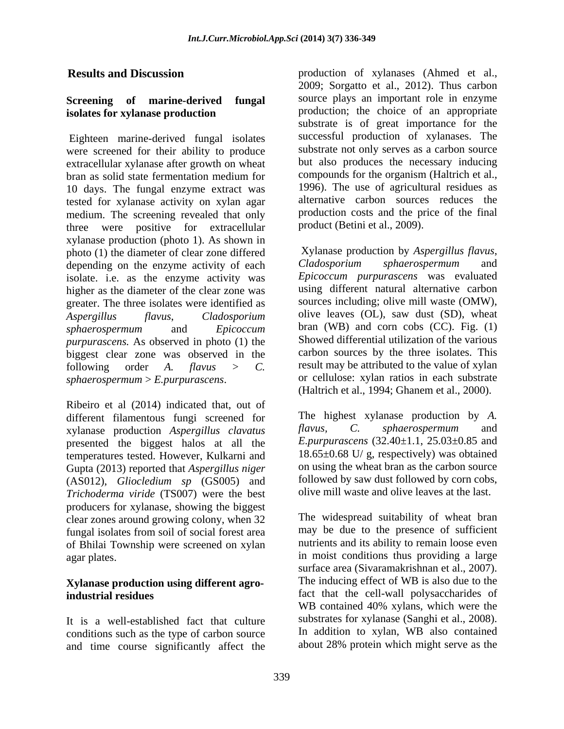# **isolates for xylanase production**

Eighteen marine-derived fungal isolates were screened for their ability to produce extracellular xylanase after growth on wheat 10 days. The fungal enzyme extract was tested for xylanase activity on xylan agar medium. The screening revealed that only three were positive for extracellular xylanase production (photo 1). As shown in photo (1) the diameter of clear zone differed<br>depending on the enzyme activity of each<br>cladosporium sphaerospermum and depending on the enzyme activity of each isolate. i.e. as the enzyme activity was higher as the diameter of the clear zone was greater. The three isolates were identified as *Aspergillus flavus*, *Cladosporium*  olive leaves (OL), saw dust (SD), wheat *sphaerospermum* and *Epicoccum purpurascens.* As observed in photo (1) the biggest clear zone was observed in the following order *A. flavus > C.* result may be attributed to the value of xylan *sphaerospermum* > *E.purpurascens*. or cellulose: xylan ratios in each substrate

Ribeiro et al (2014) indicated that, out of different filamentous fungi screened for The highest xylanase production<br>xylanase production Asperoillus clavatus flavus, C. sphaerospermum xylanase production *Aspergillus clavatus* presented the biggest halos at all the temperatures tested. However, Kulkarni and Gupta (2013) reported that *Aspergillus niger* (AS012), *Gliocledium sp* (GS005) and *Trichoderma viride* (TS007) were the best producers for xylanase, showing the biggest clear zones around growing colony, when 32 fungal isolates from soil of social forest area of Bhilai Township were screened on xylan

# **Xylanase production using different agro-**

conditions such as the type of carbon source and time course significantly affect the

**Results and Discussion** production of xylanases (Ahmed et al., **Screening of marine-derived fungal**  source plays an important role in enzyme bran as solid state fermentation medium for compounds for the organism (Haltrich et al., 2009; Sorgatto et al., 2012). Thus carbon production; the choice of an appropriate substrate is of great importance for the successful production of xylanases. The substrate not only serves as a carbon source but also produces the necessary inducing compounds for the organism (Haltrich et al., 1996). The use of agricultural residues as alternative carbon sources reduces the production costs and the price of the final product (Betini et al., 2009).

> Xylanase production by *Aspergillus flavus*, *Cladosporium sphaerospermum* and *Epicoccum purpurascens* was evaluated using different natural alternative carbon sources including; olive mill waste (OMW), bran (WB) and corn cobs  $(CC)$ . Fig.  $(1)$ Showed differential utilization of the various carbon sources by the three isolates. This (Haltrich et al., 1994; Ghanem et al., 2000).

> The highest xylanase production by *A. flavus, C. sphaerospermum* and *E.purpurascens* (32.40±1.1, 25.03±0.85 and 18.65±0.68 U/ g, respectively) was obtained on using the wheat bran as the carbon source followed by saw dust followed by corn cobs, olive mill waste and olive leaves at the last.

agar plates. in moist conditions thus providing a large **industrial residues** fact that the cell-wall polysaccharides of It is a well-established fact that culture substrates for xylanase (Sanghi et al., 2008).<br>
conditions such as the type of carbon source In addition to xylan, WB also contained The widespread suitability of wheat bran may be due to the presence of sufficient nutrients and its ability to remain loose even surface area (Sivaramakrishnan et al., 2007). The inducing effect of WB is also due to the WB contained 40% xylans, which were the substrates for xylanase (Sanghi et al., 2008). In addition to xylan, WB also contained about 28% protein which might serve as the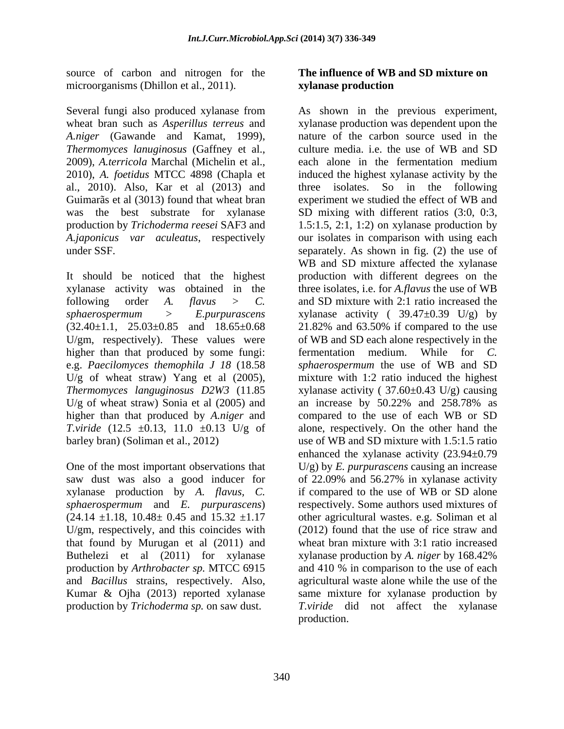source of carbon and nitrogen for the microorganisms (Dhillon et al., 2011). **xylanase production** 

*A.niger* (Gawande and Kamat, 1999), *Thermomyces lanuginosus* (Gaffney et al., 2009), *A.terricola* Marchal (Michelin et al.,

higher than that produced by some fungi: fermentation medium. While for C. U/g of wheat straw) Yang et al  $(2005)$ , U/g of wheat straw) Sonia et al  $(2005)$  and  $\frac{1}{2000}$  and increase by 50.22% and 258.78% as

saw dust was also a good inducer for of 22.09% and 56.27% in xylanase activity xylanase production by *A. flavus, C. sphaerospermum* and *E. purpurascens*) U/gm, respectively, and this coincides with that found by Murugan et al (2011) and Buthelezi et al (2011) for xylanase xylanase production by A. niger by 168.42% and *Bacillus* strains, respectively. Also,

## **The influence of WB and SD mixture on xylanase production**

Several fungi also produced xylanase from As shown in the previous experiment, wheat bran such as *Asperillus terreus* and xylanase production was dependent upon the 2010), *A. foetidus* MTCC 4898 (Chapla et induced the highest xylanase activity by the al., 2010). Also, Kar et al (2013) and three isolates. So in the following Guimarãs et al (3013) found that wheat bran experiment we studied the effect of WB and was the best substrate for xylanase SD mixing with different ratios (3:0, 0:3, production by *Trichoderma reesei* SAF3 and 1.5:1.5, 2:1, 1:2) on xylanase production by *A.japonicus var aculeatus*, respectively our isolates in comparison with using each under SSF. separately. As shown in fig. (2) the use of It should be noticed that the highest production with different degrees on the xylanase activity was obtained in the three isolates, i.e. for *A.flavus* the use of WB following order *A. flavus > C.* and SD mixture with 2:1 ratio increased the *sphaerospermum* > *E.purpurascens* xylanase activity ( 39.47±0.39 U/g) by  $(32.40 \pm 1.1, \quad 25.03 \pm 0.85$  and  $18.65 \pm 0.68$  21.82% and 63.50% if compared to the use U/gm, respectively). These values were of WB and SD each alone respectively in the e.g. *Paecilomyces themophila J 18* (18.58 *sphaerospermum* the use of WB and SD *Thermomyces languginosus D2W3* (11.85 xylanase activity ( 37.60±0.43 U/g) causing higher than that produced by *A.niger* and compared to the use of each WB or SD *T.viride* (12.5  $\pm$ 0.13, 11.0  $\pm$ 0.13 U/g of alone, respectively. On the other hand the barley bran) (Soliman et al., 2012) use of WB and SD mixture with 1.5:1.5 ratio One of the most important observations that U/g) by *E. purpurascens* causing an increase  $(24.14 \pm 1.18, 10.48 \pm 0.45 \text{ and } 15.32 \pm 1.17)$  other agricultural wastes. e.g. Soliman et al production by *Arthrobacter sp.* MTCC 6915 and 410 % in comparison to the use of each Kumar & Ojha (2013) reported xylanase same mixture for xylanase production by production by *Trichoderma sp.* on saw dust. *T.viride* did not affect the xylanase nature of the carbon source used in the culture media. i.e. the use of WB and SD each alone in the fermentation medium WB and SD mixture affected the xylanase fermentation medium. While for *C.*  mixture with 1:2 ratio induced the highest an increase by 50.22% and 258.78% as enhanced the xylanase activity (23.94±0.79 of 22.09% and 56.27% in xylanase activity if compared to the use of WB or SD alone respectively. Some authors used mixtures of (2012) found that the use of rice straw and wheat bran mixture with 3:1 ratio increased xylanase production by *A. niger* by 168.42% agricultural waste alone while the use of the production.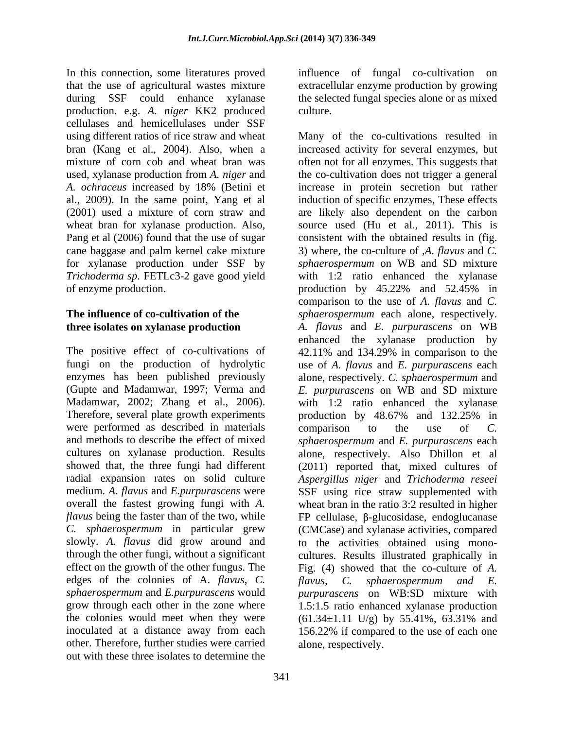In this connection, some literatures proved influence of fungal co-cultivation on that the use of agricultural wastes mixture extracellular enzyme production by growing during SSF could enhance xylanase the selected fungal species alone or as mixed production. e.g. *A. niger* KK2 produced cellulases and hemicellulases under SSF Pang et al (2006) found that the use of sugar<br>cane baggase and palm kernel cake mixture

The positive effect of co-cultivations of 42.11% and 134.29% in comparison to the were performed as described in materials comparison to the use of C. edges of the colonies of A. *flavus*, C. *flavus*, C. *sphaerospermum and E.* the colonies would meet when they were  $(61.34 \pm 1.11 \text{ U/g})$  by  $55.41\%$ ,  $63.31\%$  and other. Therefore, further studies were carried out with these three isolates to determine the

culture.

using different ratios of rice straw and wheat Many of the co-cultivations resulted in bran (Kang et al., 2004). Also, when a increased activity for several enzymes, but mixture of corn cob and wheat bran was often not for all enzymes. This suggests that used, xylanase production from *A. niger* and the co-cultivation does not trigger a general *A. ochraceus* increased by 18% (Betini et increase in protein secretion but rather al., 2009). In the same point, Yang et al induction of specific enzymes, These effects (2001) used a mixture of corn straw and are likely also dependent on the carbon wheat bran for xylanase production. Also, source used (Hu et al., 2011). This is cane baggase and palm kernel cake mixture 3) where, the co-culture of ,*A. flavus* and *C.*  for xylanase production under SSF by *sphaerospermum* on WB and SD mixture *Trichoderma sp*. FETLc3-2 gave good yield with 1:2 ratio enhanced the xylanase of enzyme production. production by 45.22% and 52.45% in **The influence of co-cultivation of the**  *sphaerospermum* each alone, respectively. **three isolates on xylanase production** *A. flavus* and *E. purpurascens* on WB fungi on the production of hydrolytic use of *A. flavus* and *E. purpurascens* each enzymes has been published previously alone, respectively. *C. sphaerospermum* and (Gupte and Madamwar, 1997; Verma and *E. purpurascens* on WB and SD mixture Madamwar, 2002; Zhang et al., 2006). with 1:2 ratio enhanced the xylanase Therefore, several plate growth experiments production by 48.67% and 132.25% in and methods to describe the effect of mixed *sphaerospermum* and *E. purpurascens* each cultures on xylanase production. Results alone, respectively. Also Dhillon et al showed that, the three fungi had different (2011) reported that, mixed cultures of radial expansion rates on solid culture *Aspergillus niger* and *Trichoderma reseei* medium. *A. flavus* and *E.purpurascens* were SSF using rice straw supplemented with overall the fastest growing fungi with *A.*  wheat bran in the ratio 3:2 resulted in higher  $flavus$  being the faster than of the two, while  $\qquad \qquad$  FP cellulase,  $\beta$ -glucosidase, endoglucanase *C. sphaerospermum* in particular grew (CMCase) and xylanase activities, compared slowly. *A. flavus* did grow around and to the activities obtained using mono through the other fungi, without a significant cultures. Results illustrated graphically in effect on the growth of the other fungus. The Fig. (4) showed that the co-culture of *A. sphaerospermum* and *E.purpurascens* would *purpurascens* on WB:SD mixture with grow through each other in the zone where 1.5:1.5 ratio enhanced xylanase production inoculated at a distance away from each 156.22% if compared to the use of each one consistent with the obtained results in (fig. comparison to the use of *A. flavus* and *C.*  enhanced the xylanase production by 42.11% and 134.29% in comparison to the comparison to the use of *C. flavus, C. sphaerospermum and E.* (61.34±1.11 U/g) by 55.41%, 63.31% and alone, respectively.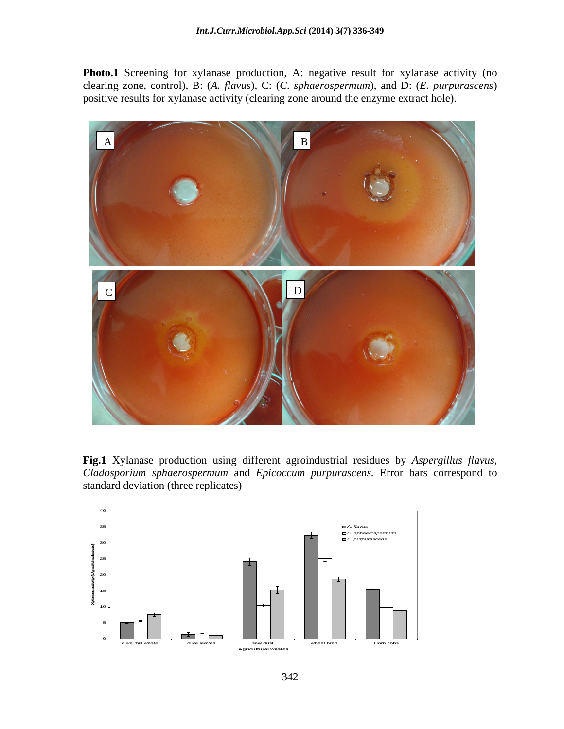Photo.1 Screening for xylanase production, A: negative result for xylanase activity (no clearing zone, control), B: (*A. flavus*), C: (*C. sphaerospermum*), and D: (*E. purpurascens*) positive results for xylanase activity (clearing zone around the enzyme extract hole).



**Fig.1** Xylanase production using different agroindustrial residues by *Aspergillus flavus*, *Cladosporium sphaerospermum* and *Epicoccum purpurascens.* Error bars correspond to standard deviation (three replicates)

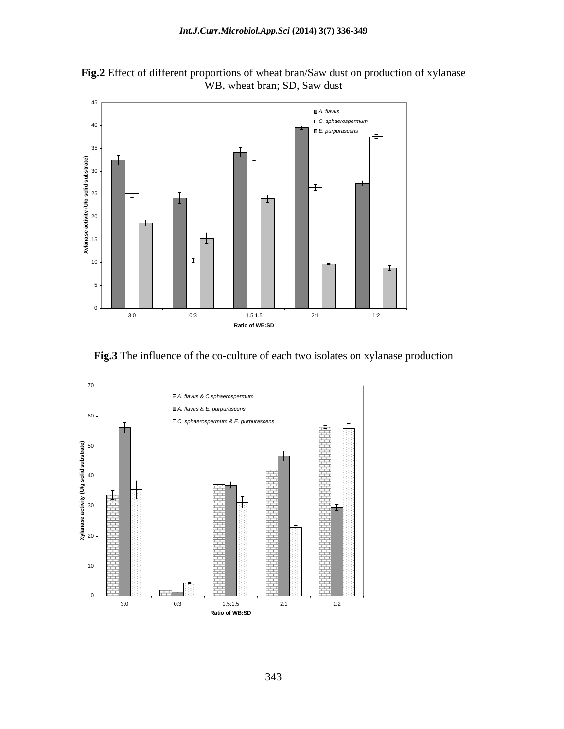

**Fig.2** Effect of different proportions of wheat bran/Saw dust on production of xylanase WB, wheat bran; SD, Saw dust



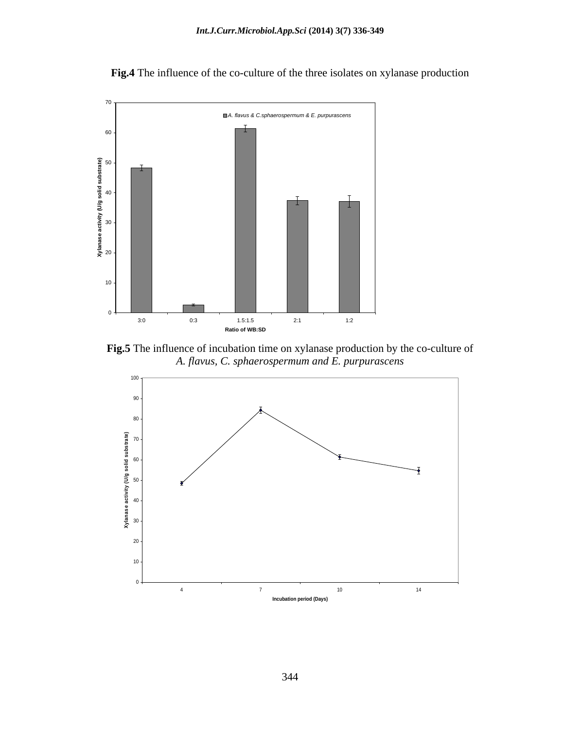

**Fig.4** The influence of the co-culture of the three isolates on xylanase production

**Fig.5** The influence of incubation time on xylanase production by the co-culture of *A. flavus, C. sphaerospermum and E. purpurascens*

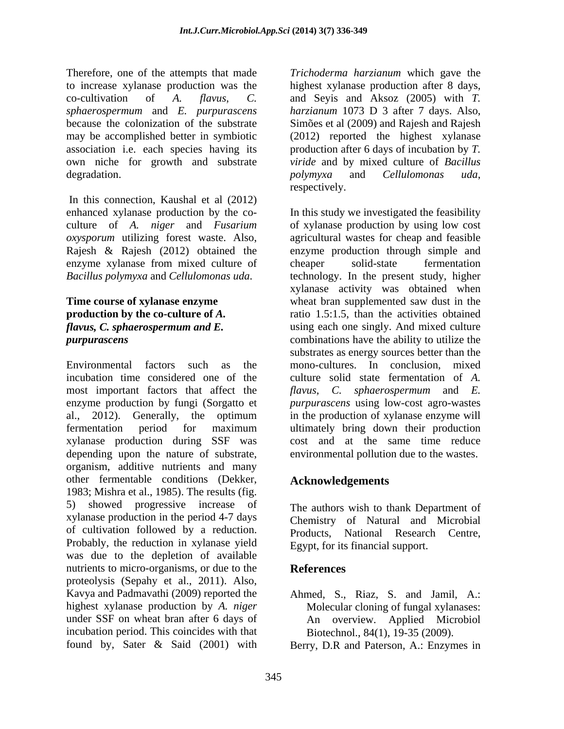Therefore, one of the attempts that made *Trichoderma harzianum* which gave the to increase xylanase production was the highest xylanase production after 8 days, co-cultivation of *A. flavus*, *C. sphaerospermum* and *E. purpurascens* because the colonization of the substrate Simões et al (2009) and Rajesh and Rajesh may be accomplished better in symbiotic (2012) reported the highest xylanase association i.e. each species having its production after 6 days of incubation by *T.*  own niche for growth and substrate *viride* and by mixed culture of *Bacillus*  degradation. by the polymyxa and Cellulomonas uda,

In this connection, Kaushal et al (2012) Rajesh & Rajesh (2012) obtained the enzyme xylanase from mixed culture of cheaper solid-state fermentation

Environmental factors such as the mono-cultures. In conclusion, mixed incubation time considered one of the culture solid state fermentation of *A.*  most important factors that affect the  $flavus$ , C. sphaerospermum and E. enzyme production by fungi (Sorgatto et al., 2012). Generally, the optimum fermentation period for maximum ultimately bring down their production xylanase production during SSF was cost and at the same time reduce depending upon the nature of substrate, organism, additive nutrients and many other fermentable conditions (Dekker, 1983; Mishra et al., 1985). The results (fig. 5) showed progressive increase of xylanase production in the period 4-7 days of cultivation followed by a reduction. Probably, the reduction in xylanase yield was due to the depletion of available nutrients to micro-organisms, or due to the References proteolysis (Sepahy et al., 2011). Also, Kavya and Padmavathi (2009) reported the Ahmed, S., Riaz, S. and Jamil, A.: highest xylanase production by *A. niger* under SSF on wheat bran after 6days of An overview. Applied Microbiol incubation period. This coincides with that

highest xylanase production after 8 days,<br>and Seyis and Aksoz (2005) with *T*. *harzianum* <sup>1073</sup> <sup>D</sup> <sup>3</sup> after <sup>7</sup> days. Also, Simões et al (2009) and Rajesh and Rajesh *polymyxa* and *Cellulomonas uda*, respectively.

enhanced xylanase production by the co- In this study we investigated the feasibility culture of *A. niger* and *Fusarium*  of xylanase production by using low cost *oxysporum* utilizing forest waste. Also, agricultural wastes for cheap and feasible *Bacillus polymyxa* and *Cellulomonas uda*. technology. In the present study, higher **Time course of xylanase enzyme** wheat bran supplemented saw dust in the **production by the co-culture of A.** Tratio 1.5:1.5, than the activities obtained *flavus, C. sphaerospermum and E.*  using each one singly. And mixed culture *purpurascens* combinations have the ability to utilize the enzyme production through simple and cheaper solid-state fermentation xylanase activity was obtained when substrates as energy sources better than the *flavus, C. sphaerospermum* and *E. purpurascens* using low-cost agro-wastes in the production of xylanase enzyme will environmental pollution due to the wastes.

# **Acknowledgements**

The authors wish to thank Department of Chemistry of Natural and Microbial Products, National Research Centre, Egypt, for its financial support.

## **References**

- Molecular cloning of fungal xylanases: Biotechnol., 84(1), 19-35 (2009).
- found by, Sater & Said (2001) with Berry, D.R and Paterson, A.: Enzymes in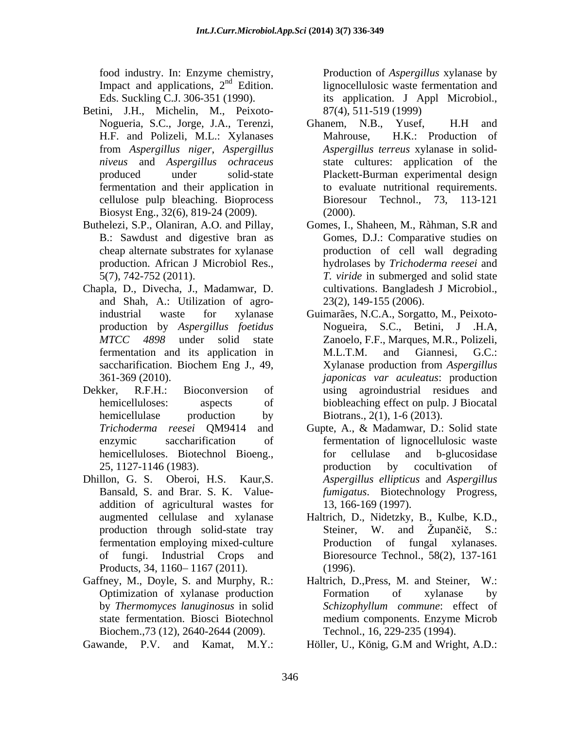food industry. In: Enzyme chemistry, Impact and applications,  $2<sup>nd</sup>$  Edition.

- Betini, J.H., Michelin, M., Peixoto cellulose pulp bleaching. Bioprocess Biosyst Eng., 32(6), 819-24 (2009).
- 
- Chapla, D., Divecha, J., Madamwar, D. and Shah, A.: Utilization of agro-
- 
- addition of agricultural wastes for Products, 34, 1160–1167 (2011). (1996).
- Gaffney, M., Doyle, S. and Murphy, R.: Haltrich, D., Press, M. and Steiner, W.: by *Thermomyces lanuginosus* in solid Biochem.,73 (12), 2640-2644 (2009).

nd Edition. lignocellulosic waste fermentation and Eds. Suckling C.J. 306-351 (1990). its application. J Appl Microbiol., Production of *Aspergillus* xylanase by 87(4), 511-519 (1999)

- Nogueria, S.C., Jorge, J.A., Terenzi, H.F. and Polizeli, M.L.: Xylanases Mahrouse, H.K.: Production of from *Aspergillus niger*, *Aspergillus Aspergillus terreus* xylanase in solid *niveus* and *Aspergillus ochraceus* state cultures: application of the produced under solid-state Plackett-Burman experimental design fermentation and their application in to evaluate nutritional requirements. Ghanem, N.B., Yusef, H.H and Mahrouse, H.K.: Production of Bioresour Technol., 73, 113-121 (2000).
- Buthelezi, S.P., Olaniran, A.O. and Pillay, Gomes, I., Shaheen, M., Ràhman, S.R and B.: Sawdust and digestive bran as Gomes, D.J.: Comparative studies on cheap alternate substrates for xylanase production of cell wall degrading production. African J Microbiol Res., hydrolases by *Trichoderma reesei* and 5(7), 742-752 (2011). *T. viride* in submerged and solid state cultivations. Bangladesh J Microbiol., 23(2), 149-155 (2006).
- industrial waste for xylanase Guimarães, N.C.A., Sorgatto, M., Peixoto production by *Aspergillus foetidus* Nogueira, S.C., Betini, J .H.A, *MTCC 4898* under solid state Zanoelo, F.F., Marques, M.R., Polizeli, fermentation and its application in M.L.T.M. and Giannesi, G.C.: saccharification. Biochem Eng J., 49, <br>Xylanase production from Aspergillus 361-369 (2010). *japonicas var aculeatus*: production Dekker, R.F.H.: Bioconversion of using agroindustrial residues and hemicelluloses: aspects of biobleaching effect on pulp. J Biocatal hemicellulase production by Biotrans., 2(1), 1-6 (2013). M.L.T.M. and Giannesi, G.C.: Xylanase production from *Aspergillus*  Biotrans., 2(1), 1-6 (2013).
- *Trichoderma reesei* QM9414 and Gupte, A., & Madamwar, D.: Solid state enzymic saccharification of fermentation of lignocellulosic waste hemicelluloses. Biotechnol Bioeng., for cellulase and b-glucosidase 25, 1127-1146 (1983). Dhillon, G. S. Oberoi, H.S. Kaur,S. *Aspergillus ellipticus* and *Aspergillus*  Bansald, S. and Brar. S. K. Value- *fumigatus*. Biotechnology Progress, for cellulase and b-glucosidase production by cocultivation of 13, 166-169 (1997).
	- augmented cellulase and xylanase Haltrich, D., Nidetzky, B., Kulbe, K.D., production through solid-state tray Steiner, W. and Zupančič, S.: fermentation employing mixed-culture Production of fungal xylanases. of fungi. Industrial Crops and Bioresource Technol., 58(2), 137-161 Steiner, W. and Župančič, S.: (1996).
	- Optimization of xylanase production state fermentation. Biosci Biotechnol medium components. Enzyme Microb Haltrich, D., Press, M. and Steiner, Formation of xylanase by *Schizophyllum commune*: effect of Technol., 16, 229-235 (1994).
- Gawande, P.V. and Kamat, M.Y.: Höller, U., König, G.M and Wright, A.D.: Höller, U., König, G.M and Wright, A.D.: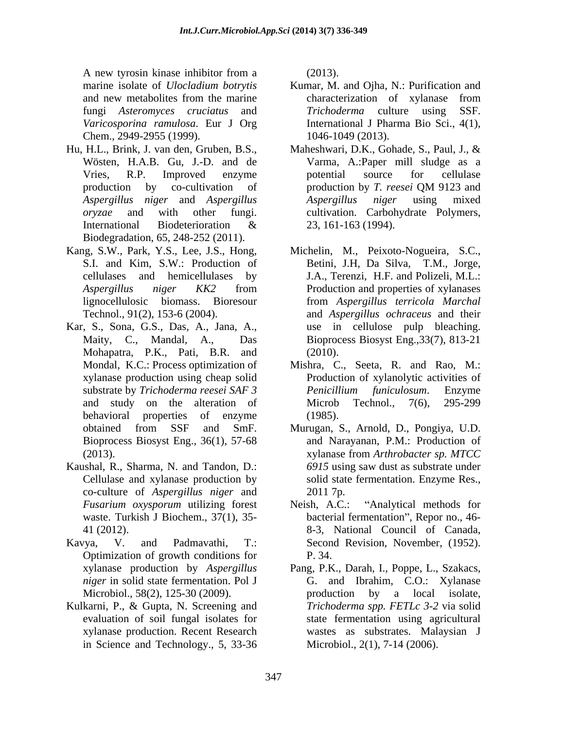A new tyrosin kinase inhibitor from a (2013). *Varicosporina ramulosa*. Eur J Org Chem., 2949-2955 (1999).

- Hu, H.L., Brink, J. van den, Gruben, B.S., Biodegradation, 65, 248-252 (2011).
- Kang, S.W., Park, Y.S., Lee, J.S., Hong, Michelin, M., Peixoto-Nogueira, S.C.,
- Kar, S., Sona, G.S., Das, A., Jana, A., Mohapatra, P.K., Pati, B.R. and
- Kaushal, R., Sharma, N. and Tandon, D.: co-culture of *Aspergillus niger* and *Fusarium oxysporum* utilizing forest waste. Turkish J Biochem., 37(1), 35-
- Kavya, V. and Padmavathi, T.: Second Revision, November, (1952). Optimization of growth conditions for Microbiol., 58(2), 125-30 (2009).
- Kulkarni, P., & Gupta, N. Screening and in Science and Technology., 5, 33-36

(2013).

- marine isolate of *Ulocladium botrytis* Kumar, M. and Ojha, N.: Purification and and new metabolites from the marine characterization of xylanase from fungi *Asteromyces cruciatus* and characterization of xylanase from *Trichoderma* culture using International J Pharma Bio Sci., 4(1), 1046-1049 (2013).
- Wösten, H.A.B. Gu, J.-D. and de Varma, A.:Paper mill sludge as a Vries, R.P. Improved enzyme potential source for cellulase production by co-cultivation of production by T. reesei QM 9123 and *Aspergillus niger* and *Aspergillus oryzae* and with other fungi. cultivation. Carbohydrate Polymers, International Biodeterioration  $\&$  23, 161-163 (1994). Maheshwari, D.K., Gohade, S., Paul, J., & potential source for cellulase production by *T. reesei* QM 9123 and *Aspergillus niger* using mixed 23, 161-163 (1994).
- S.I. and Kim, S.W.: Production of Betini, J.H, Da Silva, T.M., Jorge, cellulases and hemicellulases by J.A., Terenzi, H.F. and Polizeli, M.L.: *Aspergillus niger KK2* from lignocellulosic biomass. Bioresour from *Aspergillus terricola Marchal* Technol., 91(2), 153-6 (2004). and *Aspergillus ochraceus* and their Maity, C., Mandal, A., Das Bioprocess Biosyst Eng.,33(7), 813-21 Production and properties of xylanases use in cellulose pulp bleaching. (2010).
- Mondal, K.C.: Process optimization of Mishra, C., Seeta, R. and Rao, M.: xylanase production using cheap solid Production of xylanolytic activities of substrate by *Trichoderma reesei SAF 3* and study on the alteration of Microb Technol., 7(6), 295-299 behavioral properties of enzyme (1985). *Penicillium funiculosum*. Enzyme Microb Technol., 7(6), 295-299 (1985).
- obtained from SSF and SmF. Murugan, S., Arnold, D., Pongiya, U.D. Bioprocess Biosyst Eng., 36(1), 57-68 and Narayanan, P.M.: Production of (2013). xylanase from *Arthrobacter sp. MTCC* Cellulase and xylanase production by solid state fermentation. Enzyme Res., *6915* using saw dust as substrate under 2011 7p.
- 41 (2012). 8-3, National Council of Canada, "Analytical methods for bacterial fermentation", Repor no., 46-P. 34.
- xylanase production by *Aspergillus*  Pang, P.K., Darah, I., Poppe, L., Szakacs, *niger* in solid state fermentation. Pol J G. and Ibrahim, C.O.: Xylanase evaluation of soil fungal isolates for state fermentation using agricultural xylanase production. Recent Research wastes as substrates. Malaysian J by a local isolate, *Trichoderma spp. FETLc 3-2* via solid Microbiol., 2(1), 7-14 (2006).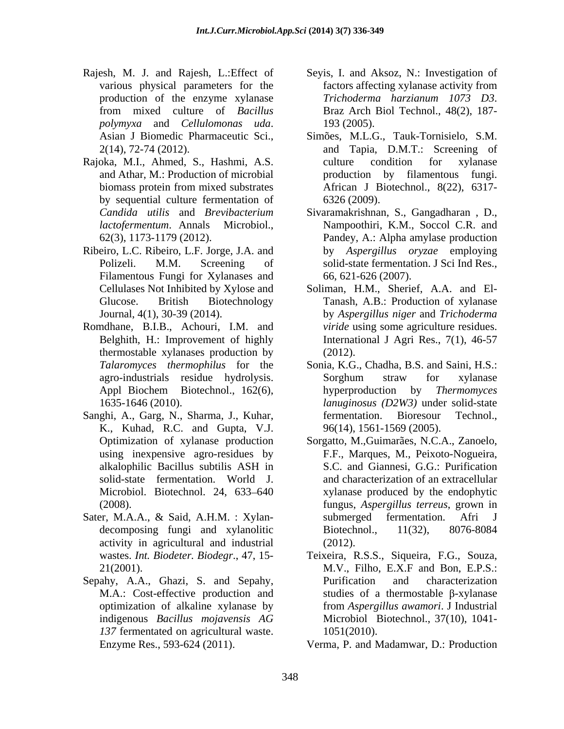- *polymyxa* and *Cellulomonas uda*. Asian <sup>J</sup> Biomedic Pharmaceutic Sci.,
- Rajoka, M.I., Ahmed, S., Hashmi, A.S. by sequential culture fermentation of 6326 (2009).
- Ribeiro, L.C. Ribeiro, L.F. Jorge, J.A. and Filamentous Fungi for Xylanases and
- Romdhane, B.I.B., Achouri, I.M. and thermostable xylanases production by (2012).
- Sanghi, A., Garg, N., Sharma, J., Kuhar, fermentation. Bioresour Technol., K., Kuhad, R.C. and Gupta, V.J.
- Sater, M.A.A., & Said, A.H.M. : Xylan-<br>submerged fermentation. Afri J activity in agricultural and industrial
- Sepahy, A.A., Ghazi, S. and Sepahy, Purification and characterization optimization of alkaline xylanase by 137 fermentated on agricultural waste. 1051(2010).
- Rajesh, M. J. and Rajesh, L.:Effect of Seyis, I. and Aksoz, N.: Investigation of various physical parameters for the factors affecting xylanase activity from production of the enzyme xylanase Trichoderma hargianum 1073 D3. from mixed culture of *Bacillus Trichoderma harzianum <sup>1073</sup> D3*. Braz Arch Biol Technol., 48(2), 187- 193 (2005).
	- 2(14), 72-74 (2012). and Tapia, D.M.T.: Screening of and Athar, M.: Production of microbial production by filamentous fungi. biomass protein from mixed substrates African J Biotechnol., 8(22), 6317- Simões, M.L.G., Tauk-Tornisielo, S.M. culture condition for xylanase 6326 (2009).
	- *Candida utilis* and *Brevibacterium*  Sivaramakrishnan, S., Gangadharan , D., *lactofermentum*. Annals Microbiol., Nampoothiri, K.M., Soccol C.R. and 62(3), 1173-1179 (2012). Pandey, A.: Alpha amylase production Polizeli. M.M. Screening of solid-state fermentation. J Sci Ind Res., by *Aspergillus oryzae* employing 66, 621-626 (2007).
	- Cellulases Not Inhibited by Xylose and Soliman, H.M., Sherief, A.A. and El- Glucose. British Biotechnology Tanash, A.B.: Production of xylanase Journal, 4(1), 30-39 (2014). by *Aspergillus niger* and *Trichoderma*  Belghith, H.: Improvement of highly International J Agri Res., 7(1), 46-57 *viride* using some agriculture residues. (2012).
	- *Talaromyces thermophilus* for the Sonia, K.G., Chadha, B.S. and Saini, H.S.: agro-industrials residue hydrolysis. Appl Biochem Biotechnol., 162(6), by approduction by *Thermomyces* 1635-1646 (2010). *lanuginosus (D2W3)* under solid-state Sorghum straw for xylanase hyperproduction by *Thermomyces*  fermentation. Bioresour Technol., 96(14), 1561-1569 (2005).
	- Optimization of xylanase production Sorgatto, M.,Guimarães, N.C.A., Zanoelo, using inexpensive agro-residues by F.F., Marques, M., Peixoto-Nogueira, alkalophilic Bacillus subtilis ASH in S.C. and Giannesi, G.G.: Purification solid-state fermentation. World J. and characterization of an extracellular Microbiol. Biotechnol. 24, 633–640 xylanase produced by the endophytic (2008). fungus, *Aspergillus terreus*, grown in decomposing fungi and xylanolitic Biotechnol., 11(32), 8076-8084 S.C. and Giannesi, G.G.: Purification submerged fermentation. Biotechnol., 11(32), 8076-8084 (2012).
	- wastes. *Int. Biodeter. Biodegr*., 47, 15- Teixeira, R.S.S., Siqueira, F.G., Souza, 21(2001). M.V., Filho, E.X.F and Bon, E.P.S.: M.A.: Cost-effective production and studies of a thermostable  $\beta$ -xylanase indigenous *Bacillus mojavensis AG* Purification and characterization from *Aspergillus awamori*. J Industrial Microbiol Biotechnol., 37(10), 1041- 1051(2010).
	- Enzyme Res., 593-624 (2011). Verma, P. and Madamwar, D.: Production